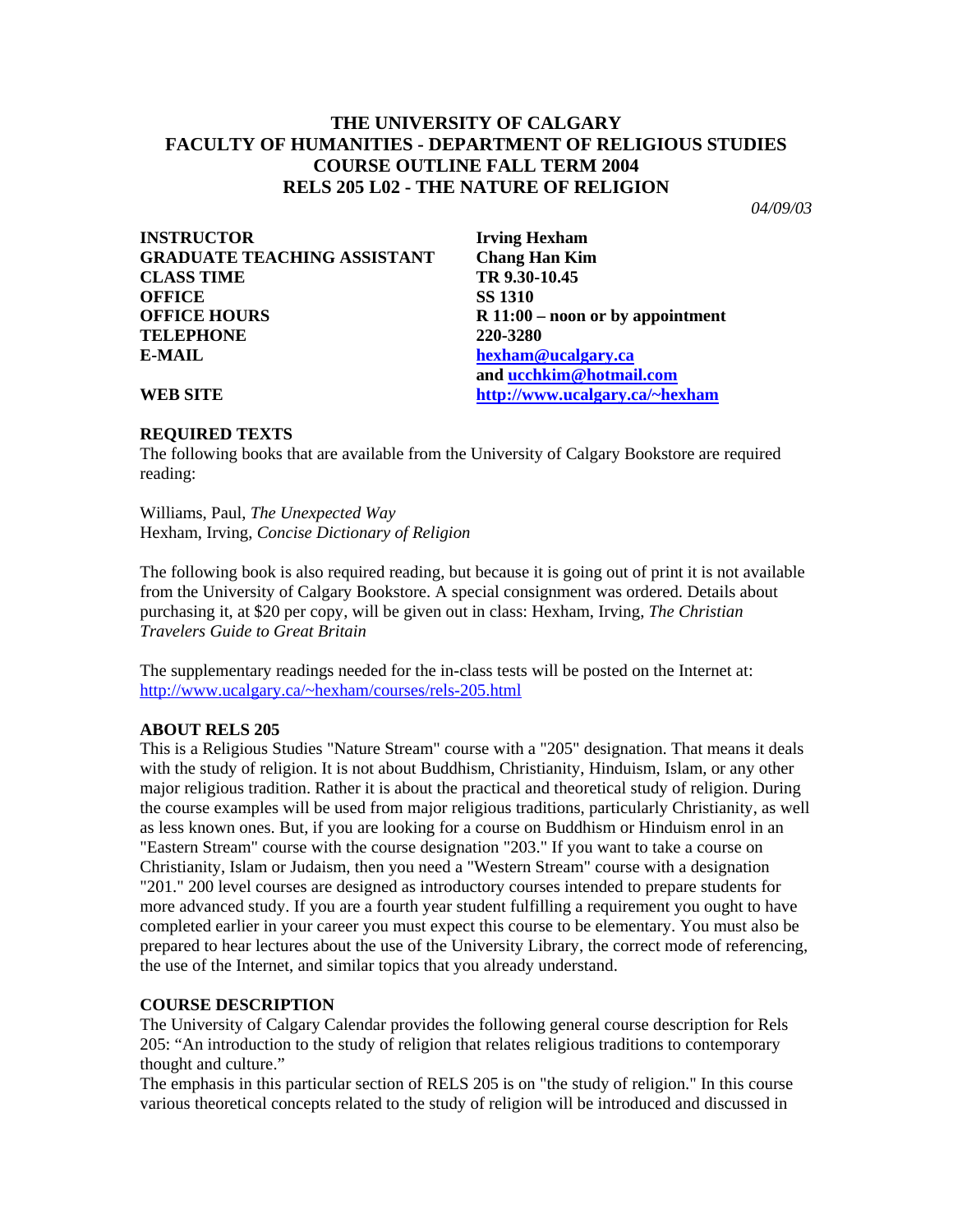# **THE UNIVERSITY OF CALGARY FACULTY OF HUMANITIES - DEPARTMENT OF RELIGIOUS STUDIES COURSE OUTLINE FALL TERM 2004 RELS 205 L02 - THE NATURE OF RELIGION**

*04/09/03* 

| <b>INSTRUCTOR</b>                  |
|------------------------------------|
| <b>GRADUATE TEACHING ASSISTANT</b> |
| <b>CLASS TIME</b>                  |
| <b>OFFICE</b>                      |
| <b>OFFICE HOURS</b>                |
| <b>TELEPHONE</b>                   |
| E-MAIL                             |

**Irving Hexham Chang Han Kim CLASS TIME TR 9.30-10.45 OFFICE SS 1310**  R 11:00 – noon or by appointment **TELEPHONE 220-3280 E-MAIL [hexham@ucalgary.ca](mailto:hexham@ucalgary.ca)  and [ucchkim@hotmail.com](mailto:ucchkim@hotmail.com) WEB SITE [http://www.ucalgary.ca/~hexham](http://www.ucalgary.ca/%7Ehexham)**

# **REQUIRED TEXTS**

The following books that are available from the University of Calgary Bookstore are required reading:

Williams, Paul, *The Unexpected Way*  Hexham, Irving, *Concise Dictionary of Religion* 

The following book is also required reading, but because it is going out of print it is not available from the University of Calgary Bookstore. A special consignment was ordered. Details about purchasing it, at \$20 per copy, will be given out in class: Hexham, Irving, *The Christian Travelers Guide to Great Britain* 

The supplementary readings needed for the in-class tests will be posted on the Internet at: [http://www.ucalgary.ca/~hexham/courses/rels-205.html](http://www.ucalgary.ca/%7Ehexham/courses/rels-205.html)

# **ABOUT RELS 205**

This is a Religious Studies "Nature Stream" course with a "205" designation. That means it deals with the study of religion. It is not about Buddhism, Christianity, Hinduism, Islam, or any other major religious tradition. Rather it is about the practical and theoretical study of religion. During the course examples will be used from major religious traditions, particularly Christianity, as well as less known ones. But, if you are looking for a course on Buddhism or Hinduism enrol in an "Eastern Stream" course with the course designation "203." If you want to take a course on Christianity, Islam or Judaism, then you need a "Western Stream" course with a designation "201." 200 level courses are designed as introductory courses intended to prepare students for more advanced study. If you are a fourth year student fulfilling a requirement you ought to have completed earlier in your career you must expect this course to be elementary. You must also be prepared to hear lectures about the use of the University Library, the correct mode of referencing, the use of the Internet, and similar topics that you already understand.

# **COURSE DESCRIPTION**

The University of Calgary Calendar provides the following general course description for Rels 205: "An introduction to the study of religion that relates religious traditions to contemporary thought and culture."

The emphasis in this particular section of RELS 205 is on "the study of religion." In this course various theoretical concepts related to the study of religion will be introduced and discussed in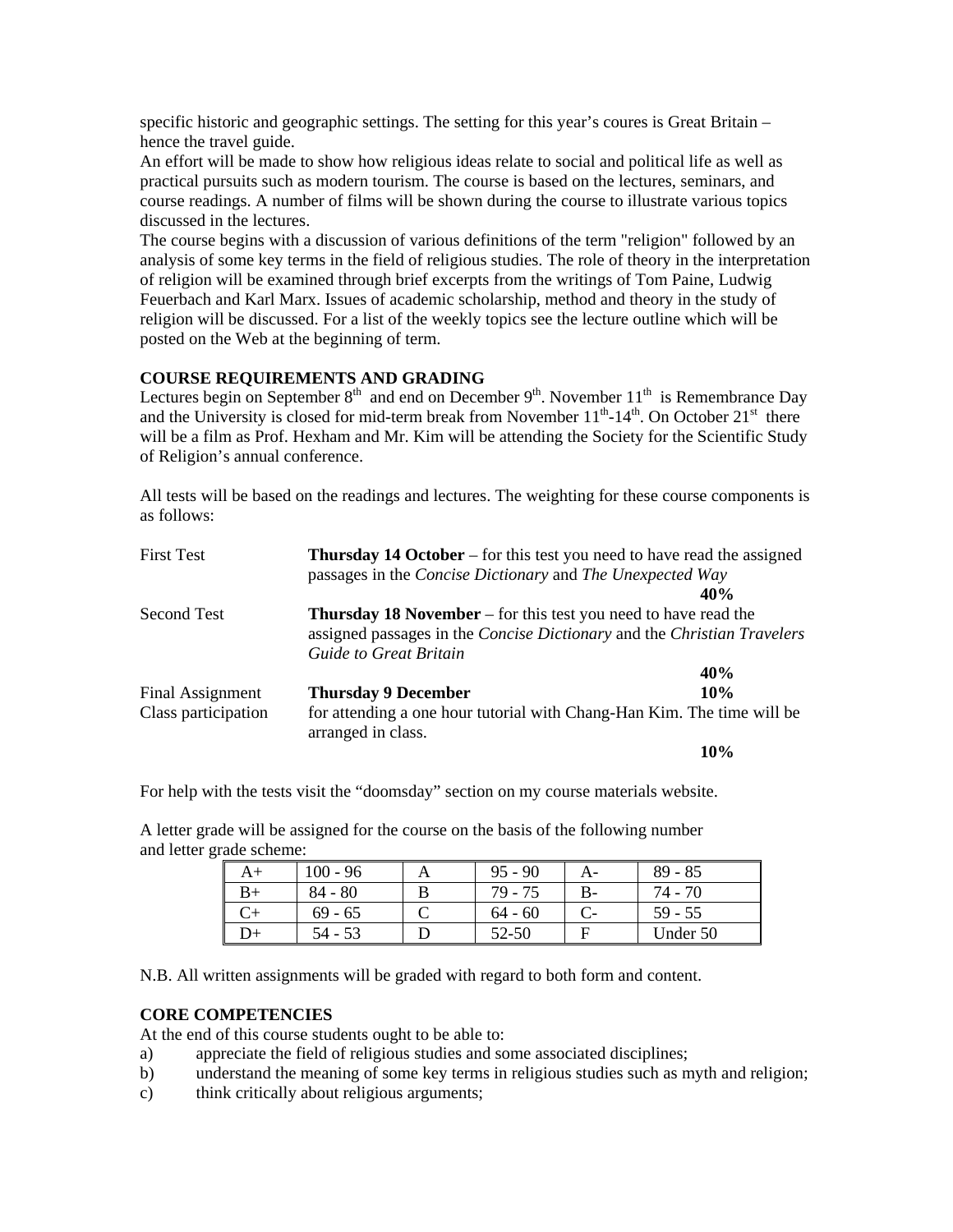specific historic and geographic settings. The setting for this year's coures is Great Britain – hence the travel guide.

An effort will be made to show how religious ideas relate to social and political life as well as practical pursuits such as modern tourism. The course is based on the lectures, seminars, and course readings. A number of films will be shown during the course to illustrate various topics discussed in the lectures.

The course begins with a discussion of various definitions of the term "religion" followed by an analysis of some key terms in the field of religious studies. The role of theory in the interpretation of religion will be examined through brief excerpts from the writings of Tom Paine, Ludwig Feuerbach and Karl Marx. Issues of academic scholarship, method and theory in the study of religion will be discussed. For a list of the weekly topics see the lecture outline which will be posted on the Web at the beginning of term.

## **COURSE REQUIREMENTS AND GRADING**

Lectures begin on September  $8<sup>th</sup>$  and end on December  $9<sup>th</sup>$ . November  $11<sup>th</sup>$  is Remembrance Day and the University is closed for mid-term break from November  $11^{th}$ - $14^{th}$ . On October  $21^{st}$  there will be a film as Prof. Hexham and Mr. Kim will be attending the Society for the Scientific Study of Religion's annual conference.

All tests will be based on the readings and lectures. The weighting for these course components is as follows:

| <b>First Test</b>   | <b>Thursday 14 October</b> – for this test you need to have read the assigned |     |  |  |
|---------------------|-------------------------------------------------------------------------------|-----|--|--|
|                     | passages in the Concise Dictionary and The Unexpected Way                     |     |  |  |
|                     |                                                                               | 40% |  |  |
| Second Test         | <b>Thursday 18 November</b> – for this test you need to have read the         |     |  |  |
|                     | assigned passages in the Concise Dictionary and the Christian Travelers       |     |  |  |
|                     | Guide to Great Britain                                                        |     |  |  |
|                     |                                                                               | 40% |  |  |
| Final Assignment    | <b>Thursday 9 December</b>                                                    | 10% |  |  |
| Class participation | for attending a one hour tutorial with Chang-Han Kim. The time will be        |     |  |  |
|                     | arranged in class.                                                            |     |  |  |
|                     |                                                                               | 10% |  |  |

For help with the tests visit the "doomsday" section on my course materials website.

A letter grade will be assigned for the course on the basis of the following number and letter grade scheme:

| A+ | $100 - 96$ | $95 - 90$ | $89 - 85$ |
|----|------------|-----------|-----------|
| B+ | $84 - 80$  | 79 - 75   | 74 - 70   |
|    | $69 - 65$  | $64 - 60$ | $59 - 55$ |
| D+ | 54 - 53    | 52-50     | Under 50  |

N.B. All written assignments will be graded with regard to both form and content.

#### **CORE COMPETENCIES**

At the end of this course students ought to be able to:

- a) appreciate the field of religious studies and some associated disciplines;
- b) understand the meaning of some key terms in religious studies such as myth and religion;
- c) think critically about religious arguments;